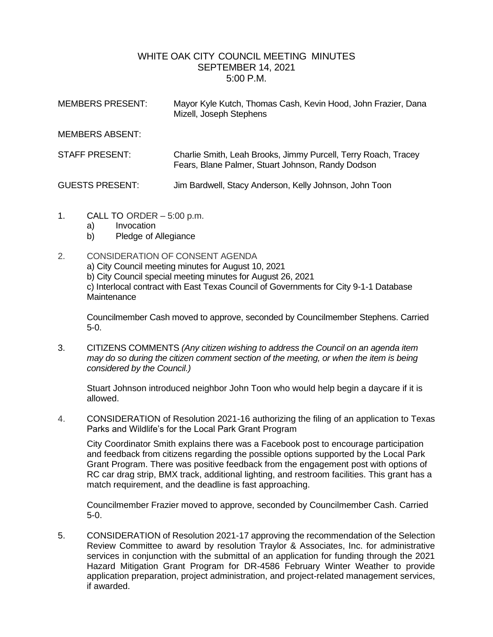## WHITE OAK CITY COUNCIL MEETING MINUTES SEPTEMBER 14, 2021 5:00 P.M.

| <b>MEMBERS PRESENT:</b> | Mayor Kyle Kutch, Thomas Cash, Kevin Hood, John Frazier, Dana<br>Mizell, Joseph Stephens                            |
|-------------------------|---------------------------------------------------------------------------------------------------------------------|
| <b>MEMBERS ABSENT:</b>  |                                                                                                                     |
| STAFF PRESENT:          | Charlie Smith, Leah Brooks, Jimmy Purcell, Terry Roach, Tracey<br>Fears, Blane Palmer, Stuart Johnson, Randy Dodson |
| <b>GUESTS PRESENT:</b>  | Jim Bardwell, Stacy Anderson, Kelly Johnson, John Toon                                                              |

- 1. CALL TO ORDER 5:00 p.m.
	- a) Invocation
	- b) Pledge of Allegiance
- 2. CONSIDERATION OF CONSENT AGENDA

a) City Council meeting minutes for August 10, 2021

b) City Council special meeting minutes for August 26, 2021

c) Interlocal contract with East Texas Council of Governments for City 9-1-1 Database **Maintenance** 

Councilmember Cash moved to approve, seconded by Councilmember Stephens. Carried 5-0.

3. CITIZENS COMMENTS *(Any citizen wishing to address the Council on an agenda item may do so during the citizen comment section of the meeting, or when the item is being considered by the Council.)*

Stuart Johnson introduced neighbor John Toon who would help begin a daycare if it is allowed.

4. CONSIDERATION of Resolution 2021-16 authorizing the filing of an application to Texas Parks and Wildlife's for the Local Park Grant Program

City Coordinator Smith explains there was a Facebook post to encourage participation and feedback from citizens regarding the possible options supported by the Local Park Grant Program. There was positive feedback from the engagement post with options of RC car drag strip, BMX track, additional lighting, and restroom facilities. This grant has a match requirement, and the deadline is fast approaching.

Councilmember Frazier moved to approve, seconded by Councilmember Cash. Carried 5-0.

5. CONSIDERATION of Resolution 2021-17 approving the recommendation of the Selection Review Committee to award by resolution Traylor & Associates, Inc. for administrative services in conjunction with the submittal of an application for funding through the 2021 Hazard Mitigation Grant Program for DR-4586 February Winter Weather to provide application preparation, project administration, and project-related management services, if awarded.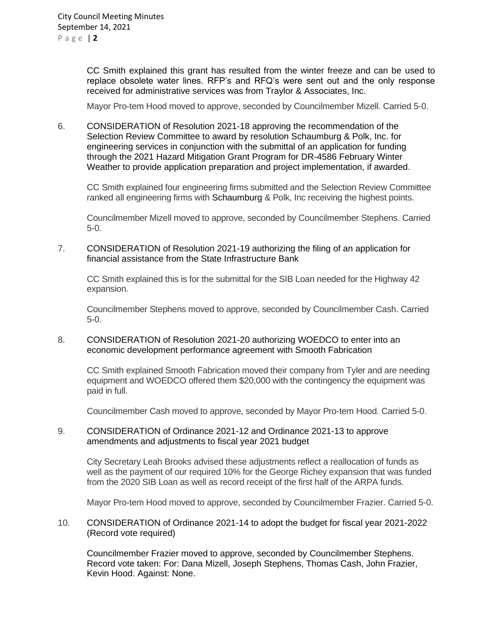CC Smith explained this grant has resulted from the winter freeze and can be used to replace obsolete water lines. RFP's and RFQ's were sent out and the only response received for administrative services was from Traylor & Associates, Inc.

Mayor Pro-tem Hood moved to approve, seconded by Councilmember Mizell. Carried 5-0.

6. CONSIDERATION of Resolution 2021-18 approving the recommendation of the Selection Review Committee to award by resolution Schaumburg & Polk, Inc. for engineering services in conjunction with the submittal of an application for funding through the 2021 Hazard Mitigation Grant Program for DR-4586 February Winter Weather to provide application preparation and project implementation, if awarded.

CC Smith explained four engineering firms submitted and the Selection Review Committee ranked all engineering firms with Schaumburg & Polk, Inc receiving the highest points.

Councilmember Mizell moved to approve, seconded by Councilmember Stephens. Carried 5-0.

7. CONSIDERATION of Resolution 2021-19 authorizing the filing of an application for financial assistance from the State Infrastructure Bank

CC Smith explained this is for the submittal for the SIB Loan needed for the Highway 42 expansion.

Councilmember Stephens moved to approve, seconded by Councilmember Cash. Carried 5-0.

8. CONSIDERATION of Resolution 2021-20 authorizing WOEDCO to enter into an economic development performance agreement with Smooth Fabrication

CC Smith explained Smooth Fabrication moved their company from Tyler and are needing equipment and WOEDCO offered them \$20,000 with the contingency the equipment was paid in full.

Councilmember Cash moved to approve, seconded by Mayor Pro-tem Hood. Carried 5-0.

## 9. CONSIDERATION of Ordinance 2021-12 and Ordinance 2021-13 to approve amendments and adjustments to fiscal year 2021 budget

City Secretary Leah Brooks advised these adjustments reflect a reallocation of funds as well as the payment of our required 10% for the George Richey expansion that was funded from the 2020 SIB Loan as well as record receipt of the first half of the ARPA funds.

Mayor Pro-tem Hood moved to approve, seconded by Councilmember Frazier. Carried 5-0.

10. CONSIDERATION of Ordinance 2021-14 to adopt the budget for fiscal year 2021-2022 (Record vote required)

Councilmember Frazier moved to approve, seconded by Councilmember Stephens. Record vote taken: For: Dana Mizell, Joseph Stephens, Thomas Cash, John Frazier, Kevin Hood. Against: None.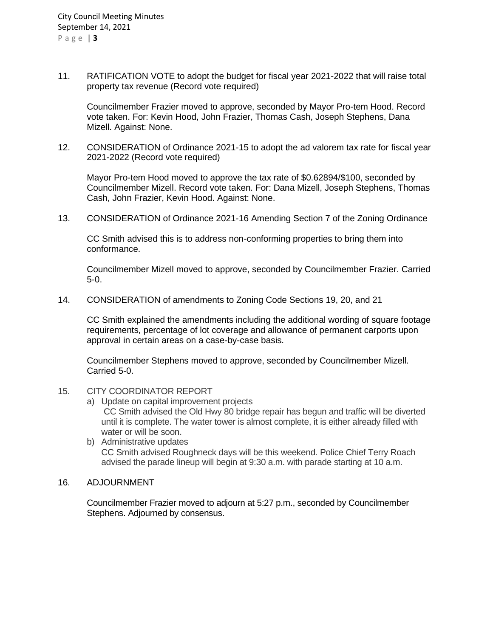11. RATIFICATION VOTE to adopt the budget for fiscal year 2021-2022 that will raise total property tax revenue (Record vote required)

Councilmember Frazier moved to approve, seconded by Mayor Pro-tem Hood. Record vote taken. For: Kevin Hood, John Frazier, Thomas Cash, Joseph Stephens, Dana Mizell. Against: None.

12. CONSIDERATION of Ordinance 2021-15 to adopt the ad valorem tax rate for fiscal year 2021-2022 (Record vote required)

Mayor Pro-tem Hood moved to approve the tax rate of \$0.62894/\$100, seconded by Councilmember Mizell. Record vote taken. For: Dana Mizell, Joseph Stephens, Thomas Cash, John Frazier, Kevin Hood. Against: None.

13. CONSIDERATION of Ordinance 2021-16 Amending Section 7 of the Zoning Ordinance

CC Smith advised this is to address non-conforming properties to bring them into conformance.

Councilmember Mizell moved to approve, seconded by Councilmember Frazier. Carried 5-0.

14. CONSIDERATION of amendments to Zoning Code Sections 19, 20, and 21

CC Smith explained the amendments including the additional wording of square footage requirements, percentage of lot coverage and allowance of permanent carports upon approval in certain areas on a case-by-case basis.

Councilmember Stephens moved to approve, seconded by Councilmember Mizell. Carried 5-0.

## 15. CITY COORDINATOR REPORT

- a) Update on capital improvement projects CC Smith advised the Old Hwy 80 bridge repair has begun and traffic will be diverted until it is complete. The water tower is almost complete, it is either already filled with water or will be soon.
- b) Administrative updates CC Smith advised Roughneck days will be this weekend. Police Chief Terry Roach advised the parade lineup will begin at 9:30 a.m. with parade starting at 10 a.m.

## 16. ADJOURNMENT

Councilmember Frazier moved to adjourn at 5:27 p.m., seconded by Councilmember Stephens. Adjourned by consensus.